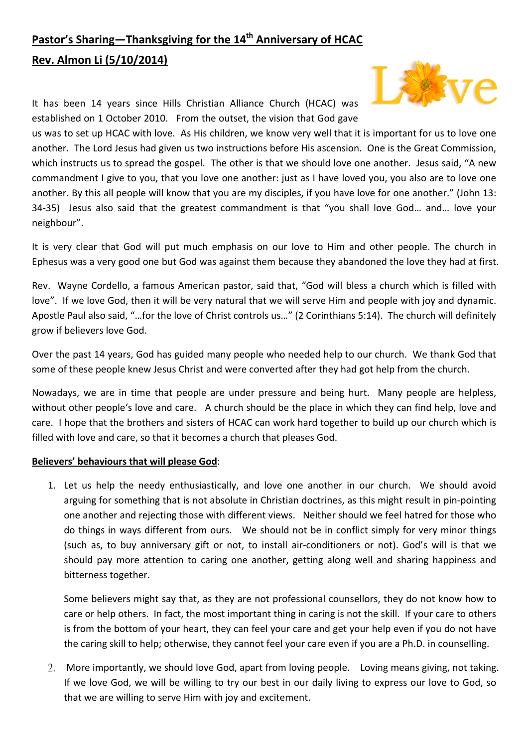## **Pastor's Sharing—Thanksgiving for the 14th Anniversary of HCAC Rev. Almon Li (5/10/2014)**

It has been 14 years since Hills Christian Alliance Church (HCAC) was established on 1 October 2010. From the outset, the vision that God gave



us was to set up HCAC with love. As His children, we know very well that it is important for us to love one another. The Lord Jesus had given us two instructions before His ascension. One is the Great Commission, which instructs us to spread the gospel. The other is that we should love one another. Jesus said, "A new commandment I give to you, that you love one another: just as I have loved you, you also are to love one another. By this all people will know that you are my disciples, if you have love for one another." (John 13: 34-35) Jesus also said that the greatest commandment is that "you shall love God... and... love your neighbour".

It is very clear that God will put much emphasis on our love to Him and other people. The church in Ephesus was a very good one but God was against them because they abandoned the love they had at first.

Rev. Wayne Cordello, a famous American pastor, said that, "God will bless a church which is filled with love". If we love God, then it will be very natural that we will serve Him and people with joy and dynamic. Apostle Paul also said, "…for the love of Christ controls us…" (2 Corinthians 5:14). The church will definitely grow if believers love God.

Over the past 14 years, God has guided many people who needed help to our church. We thank God that some of these people knew Jesus Christ and were converted after they had got help from the church.

Nowadays, we are in time that people are under pressure and being hurt. Many people are helpless, without other people's love and care. A church should be the place in which they can find help, love and care. I hope that the brothers and sisters of HCAC can work hard together to build up our church which is filled with love and care, so that it becomes a church that pleases God.

## **Believers' behaviours that will please God**:

1. Let us help the needy enthusiastically, and love one another in our church. We should avoid arguing for something that is not absolute in Christian doctrines, as this might result in pin‐pointing one another and rejecting those with different views. Neither should we feel hatred for those who do things in ways different from ours. We should not be in conflict simply for very minor things (such as, to buy anniversary gift or not, to install air‐conditioners or not). God's will is that we should pay more attention to caring one another, getting along well and sharing happiness and bitterness together.

Some believers might say that, as they are not professional counsellors, they do not know how to care or help others. In fact, the most important thing in caring is not the skill. If your care to others is from the bottom of your heart, they can feel your care and get your help even if you do not have the caring skill to help; otherwise, they cannot feel your care even if you are a Ph.D. in counselling.

2. More importantly, we should love God, apart from loving people. Loving means giving, not taking. If we love God, we will be willing to try our best in our daily living to express our love to God, so that we are willing to serve Him with joy and excitement.